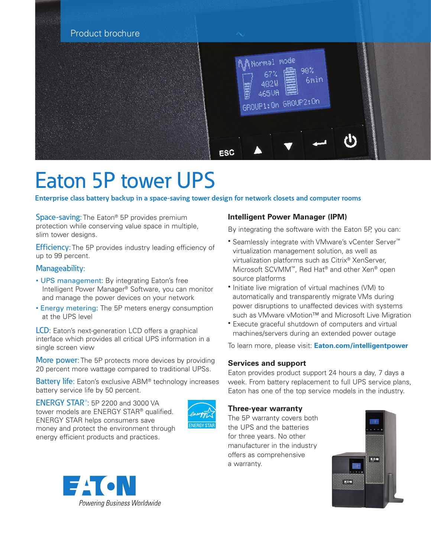

# Eaton 5P tower UPS

**Enterprise class battery backup in a space-saving tower design for network closets and computer rooms**

Space-saving: The Eaton<sup>®</sup> 5P provides premium protection while conserving value space in multiple, slim tower designs.

**Efficiency:** The 5P provides industry leading efficiency of up to 99 percent.

## Manageability:

- UPS management: By integrating Eaton's free Intelligent Power Manager® Software, you can monitor and manage the power devices on your network
- Energy metering: The 5P meters energy consumption at the UPS level

**LCD:** Eaton's next-generation LCD offers a graphical interface which provides all critical UPS information in a single screen view

More power: The 5P protects more devices by providing 20 percent more wattage compared to traditional UPSs.

**Battery life:** Eaton's exclusive ABM<sup>®</sup> technology increases battery service life by 50 percent.

ENERGY STAR®: 5P 2200 and 3000 VA tower models are ENERGY STAR® qualified. ENERGY STAR helps consumers save money and protect the environment through energy efficient products and practices.





By integrating the software with the Eaton 5P, you can:

- Seamlessly integrate with VMware's vCenter Server™ virtualization management solution, as well as virtualization platforms such as Citrix® XenServer, Microsoft SCVMM™, Red Hat® and other Xen® open source platforms
- Initiate live migration of virtual machines (VM) to automatically and transparently migrate VMs during power disruptions to unaffected devices with systems such as VMware vMotion™ and Microsoft Live Migration
- Execute graceful shutdown of computers and virtual machines/servers during an extended power outage

To learn more, please visit: **[Eaton.com/intelligentpowe](http://Eaton.com/intelligentpowe)r**

## **Services and support**

Eaton provides product support 24 hours a day, 7 days a week. From battery replacement to full UPS service plans, Eaton has one of the top service models in the industry.

### **Three-year warranty**

The 5P warranty covers both the UPS and the batteries for three years. No other manufacturer in the industry offers as comprehensive a warranty.